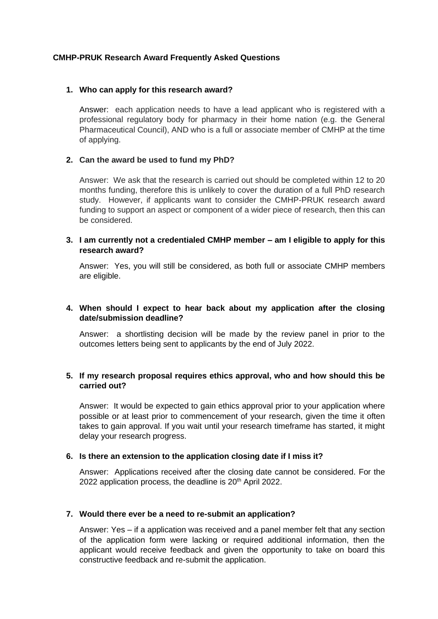# **CMHP-PRUK Research Award Frequently Asked Questions**

# **1. Who can apply for this research award?**

Answer: each application needs to have a lead applicant who is registered with a professional regulatory body for pharmacy in their home nation (e.g. the General Pharmaceutical Council), AND who is a full or associate member of CMHP at the time of applying.

# **2. Can the award be used to fund my PhD?**

Answer: We ask that the research is carried out should be completed within 12 to 20 months funding, therefore this is unlikely to cover the duration of a full PhD research study. However, if applicants want to consider the CMHP-PRUK research award funding to support an aspect or component of a wider piece of research, then this can be considered.

# **3. I am currently not a credentialed CMHP member – am I eligible to apply for this research award?**

Answer: Yes, you will still be considered, as both full or associate CMHP members are eligible.

## **4. When should I expect to hear back about my application after the closing date/submission deadline?**

Answer: a shortlisting decision will be made by the review panel in prior to the outcomes letters being sent to applicants by the end of July 2022.

# **5. If my research proposal requires ethics approval, who and how should this be carried out?**

Answer: It would be expected to gain ethics approval prior to your application where possible or at least prior to commencement of your research, given the time it often takes to gain approval. If you wait until your research timeframe has started, it might delay your research progress.

#### **6. Is there an extension to the application closing date if I miss it?**

Answer: Applications received after the closing date cannot be considered. For the 2022 application process, the deadline is 20<sup>th</sup> April 2022.

#### **7. Would there ever be a need to re-submit an application?**

Answer: Yes – if a application was received and a panel member felt that any section of the application form were lacking or required additional information, then the applicant would receive feedback and given the opportunity to take on board this constructive feedback and re-submit the application.